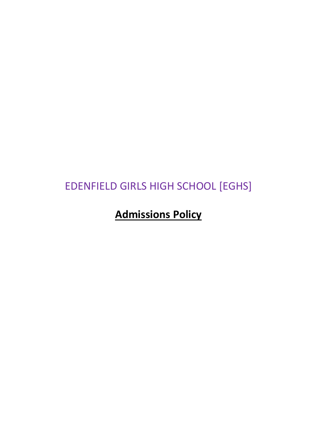# EDENFIELD GIRLS HIGH SCHOOL [EGHS]

# **Admissions Policy**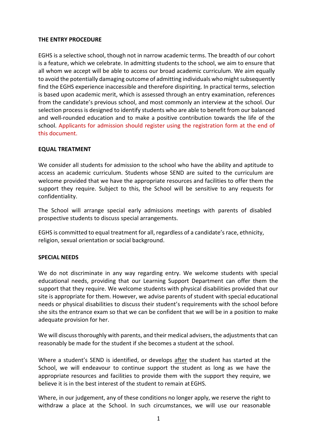### **THE ENTRY PROCEDURE**

EGHS is a selective school, though not in narrow academic terms. The breadth of our cohort is a feature, which we celebrate. In admitting students to the school, we aim to ensure that all whom we accept will be able to access our broad academic curriculum. We aim equally to avoid the potentially damaging outcome of admitting individuals who might subsequently find the EGHS experience inaccessible and therefore dispiriting. In practical terms, selection is based upon academic merit, which is assessed through an entry examination, references from the candidate's previous school, and most commonly an interview at the school. Our selection process is designed to identify students who are able to benefit from our balanced and well-rounded education and to make a positive contribution towards the life of the school. Applicants for admission should register using the registration form at the end of this document.

### **EQUAL TREATMENT**

We consider all students for admission to the school who have the ability and aptitude to access an academic curriculum. Students whose SEND are suited to the curriculum are welcome provided that we have the appropriate resources and facilities to offer them the support they require. Subject to this, the School will be sensitive to any requests for confidentiality.

The School will arrange special early admissions meetings with parents of disabled prospective students to discuss special arrangements.

EGHS is committed to equal treatment for all, regardless of a candidate's race, ethnicity, religion, sexual orientation or social background.

#### **SPECIAL NEEDS**

We do not discriminate in any way regarding entry. We welcome students with special educational needs, providing that our Learning Support Department can offer them the support that they require. We welcome students with physical disabilities provided that our site is appropriate for them. However, we advise parents of student with special educational needs or physical disabilities to discuss their student's requirements with the school before she sits the entrance exam so that we can be confident that we will be in a position to make adequate provision for her.

We will discuss thoroughly with parents, and their medical advisers, the adjustments that can reasonably be made for the student if she becomes a student at the school.

Where a student's SEND is identified, or develops after the student has started at the School, we will endeavour to continue support the student as long as we have the appropriate resources and facilities to provide them with the support they require, we believe it is in the best interest of the student to remain at EGHS.

Where, in our judgement, any of these conditions no longer apply, we reserve the right to withdraw a place at the School. In such circumstances, we will use our reasonable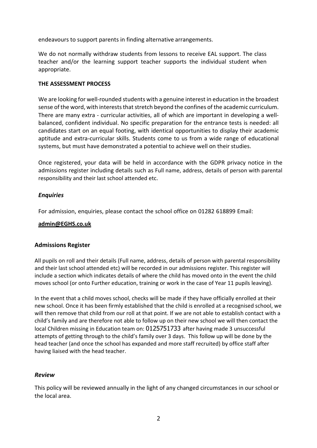endeavours to support parents in finding alternative arrangements.

We do not normally withdraw students from lessons to receive EAL support. The class teacher and/or the learning support teacher supports the individual student when appropriate.

### **THE ASSESSMENT PROCESS**

We are looking for well-rounded students with a genuine interest in education in the broadest sense of the word, with interests that stretch beyond the confines of the academic curriculum. There are many extra - curricular activities, all of which are important in developing a wellbalanced, confident individual. No specific preparation for the entrance tests is needed: all candidates start on an equal footing, with identical opportunities to display their academic aptitude and extra-curricular skills. Students come to us from a wide range of educational systems, but must have demonstrated a potential to achieve well on their studies.

Once registered, your data will be held in accordance with the GDPR privacy notice in the admissions register including details such as Full name, address, details of person with parental responsibility and their last school attended etc.

# *Enquiries*

For admission, enquiries, please contact the school office on 01282 618899 Email:

#### **[admin@EGHS.co.uk](mailto:admin@mihsg.co.uk)**

# **Admissions Register**

All pupils on roll and their details (Full name, address, details of person with parental responsibility and their last school attended etc) will be recorded in our admissions register. This register will include a section which indicates details of where the child has moved onto in the event the child moves school (or onto Further education, training or work in the case of Year 11 pupils leaving).

In the event that a child moves school, checks will be made if they have officially enrolled at their new school. Once it has been firmly established that the child is enrolled at a recognised school, we will then remove that child from our roll at that point. If we are not able to establish contact with a child's family and are therefore not able to follow up on their new school we will then contact the local Children missing in Education team on: 0125751733 after having made 3 unsuccessful attempts of getting through to the child's family over 3 days. This follow up will be done by the head teacher (and once the school has expanded and more staff recruited) by office staff after having liaised with the head teacher.

# *Review*

This policy will be reviewed annually in the light of any changed circumstances in our school or the local area.